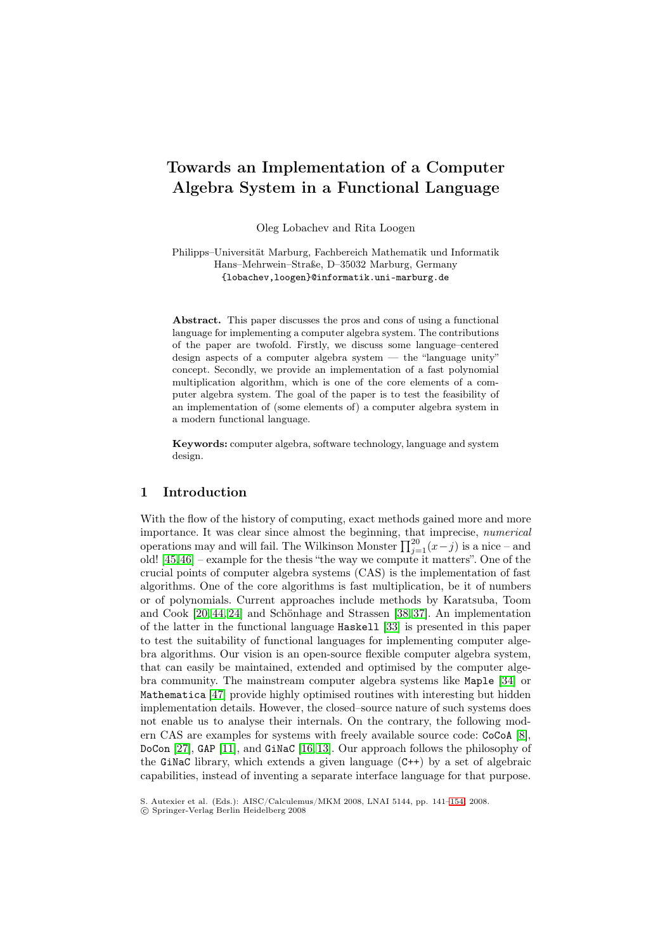# Towards an Implementation of a Computer Algebra System in a Functional Language

Oleg Lobachev and Rita Loogen

Philipps–Universität Marburg, Fachbereich Mathematik und Informatik Hans–Mehrwein–Straße, D–35032 Marburg, Germany {lobachev,loogen}@informatik.uni-marburg.de

Abstract. This paper discusses the pros and cons of using a functional language for implementing a computer algebra system. The contributions of the paper are twofold. Firstly, we discuss some language–centered design aspects of a computer algebra system — the "language unity" concept. Secondly, we provide an implementation of a fast polynomial multiplication algorithm, which is one of the core elements of a computer algebra system. The goal of the paper is to test the feasibility of an implementation of (some elements of) a computer algebra system in a modern functional language.

Keywords: computer algebra, software technology, language and system design.

# 1 Introduction

With the flow of the history of computing, exact methods gained more and more importance. It was clear since almost the beginning, that imprecise, *numerical* operations may and will fail. The Wilkinson Monster  $\prod_{j=1}^{20} (x-j)$  is a nice – and old! [\[45,](#page-13-0)[46\]](#page-13-1) – example for the thesis "the way we compute it matters". One of the crucial points of computer algebra systems (CAS) is the implementation of fast algorithms. One of the core algorithms is fast multiplication, be it of numbers or of polynomials. Current approaches include methods by Karatsuba, Toom and Cook [\[20,](#page-12-0) [44,](#page-13-2) [24\]](#page-12-1) and Schönhage and Strassen [\[38,](#page-13-3) [37\]](#page-13-4). An implementation of the latter in the functional language Haskell [\[33\]](#page-12-2) is presented in this paper to test the suitability of functional languages for implementing computer algebra algorithms. Our vision is an open-source flexible computer algebra system, that can easily be maintained, extended and optimised by the computer algebra community. The mainstream computer algebra systems like Maple [\[34\]](#page-12-3) or Mathematica [\[47\]](#page-13-5) provide highly optimised routines with interesting but hidden implementation details. However, the closed–source nature of such systems does not enable us to analyse their internals. On the contrary, the following modern CAS are examples for systems with freely available source code: CoCoA [\[8\]](#page-11-0), DoCon [\[27\]](#page-12-4), GAP [\[11\]](#page-11-1), and GiNaC [\[16,](#page-12-5) [13\]](#page-11-2). Our approach follows the philosophy of the GiNaC library, which extends a given language (C++) by a set of algebraic capabilities, instead of inventing a separate interface language for that purpose.

S. Autexier et al. (Eds.): AISC/Calculemus/MKM 2008, LNAI 5144, pp. 141[–154,](#page-11-3) 2008.

<sup>-</sup>c Springer-Verlag Berlin Heidelberg 2008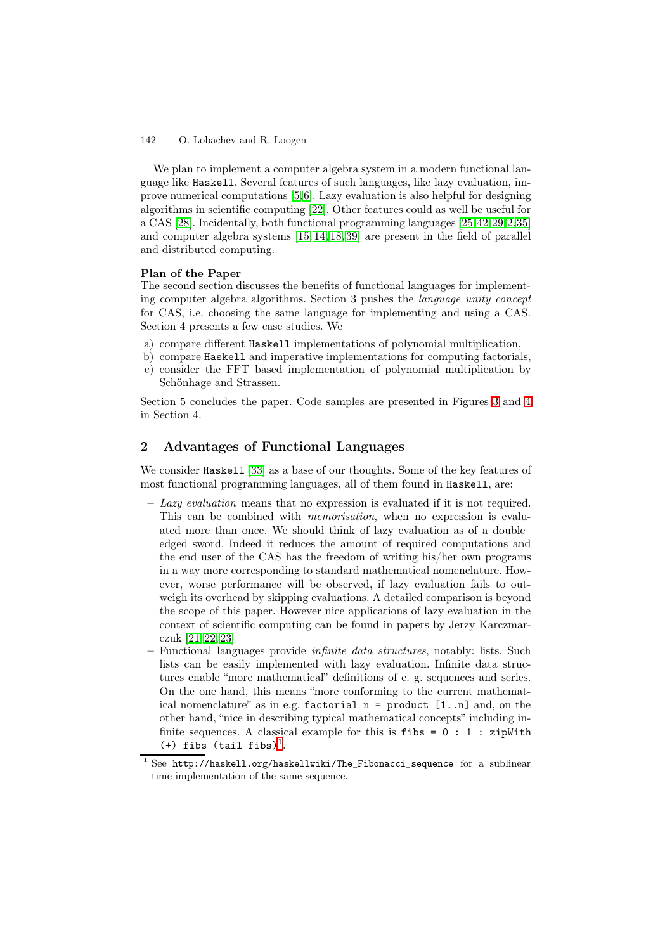We plan to implement a computer algebra system in a modern functional language like Haskell. Several features of such languages, like lazy evaluation, improve numerical computations [\[5,](#page-11-4)[6\]](#page-11-5). Lazy evaluation is also helpful for designing algorithms in scientific computing [\[22\]](#page-12-6). Other features could as well be useful for a CAS [\[28\]](#page-12-7). Incidentally, both functional programming languages [\[25,](#page-12-8)[42,](#page-13-6)[29,](#page-12-9)[2,](#page-11-6)[35\]](#page-12-10) and computer algebra systems [\[15,](#page-12-11) [14,](#page-12-12) [18,](#page-12-13) [39\]](#page-13-7) are present in the field of parallel and distributed computing.

The second section discusses the benefits of functional languages for implementing computer algebra algorithms. Section 3 pushes the *language unity concept* for CAS, i.e. choosing the same language for implementing and using a CAS. Section 4 presents a few case studies. We

- a) compare different Haskell implementations of polynomial multiplication,
- b) compare Haskell and imperative implementations for computing factorials,
- c) consider the FFT–based implementation of polynomial multiplication by Schönhage and Strassen.

Section 5 concludes the paper. Code samples are presented in Figures [3](#page-8-0) and [4](#page-8-1) in Section 4.

# 2 Advantages of Functional Languages

We consider Haskell [\[33\]](#page-12-2) as a base of our thoughts. Some of the key features of most functional programming languages, all of them found in Haskell, are:

- *Lazy evaluation* means that no expression is evaluated if it is not required. This can be combined with *memorisation*, when no expression is evaluated more than once. We should think of lazy evaluation as of a double– edged sword. Indeed it reduces the amount of required computations and the end user of the CAS has the freedom of writing his/her own programs in a way more corresponding to standard mathematical nomenclature. However, worse performance will be observed, if lazy evaluation fails to outweigh its overhead by skipping evaluations. A detailed comparison is beyond the scope of this paper. However nice applications of lazy evaluation in the context of scientific computing can be found in papers by Jerzy Karczmarczuk [\[21,](#page-12-14) [22,](#page-12-6) [23\]](#page-12-15)
- Functional languages provide *infinite data structures*, notably: lists. Such lists can be easily implemented with lazy evaluation. Infinite data structures enable "more mathematical" definitions of e. g. sequences and series. On the one hand, this means "more conforming to the current mathematical nomenclature" as in e.g. factorial  $n =$  product  $[1..n]$  and, on the other hand, "nice in describing typical mathematical concepts" including infinite sequences. A classical example for this is  $fibs = 0 : 1 : zipWith$  $(+)$  fibs (tail fibs)<sup>[1](#page-1-0)</sup>.

<span id="page-1-0"></span>See http://haskell.org/haskellwiki/The\_Fibonacci\_sequence for a sublinear time implementation of the same sequence.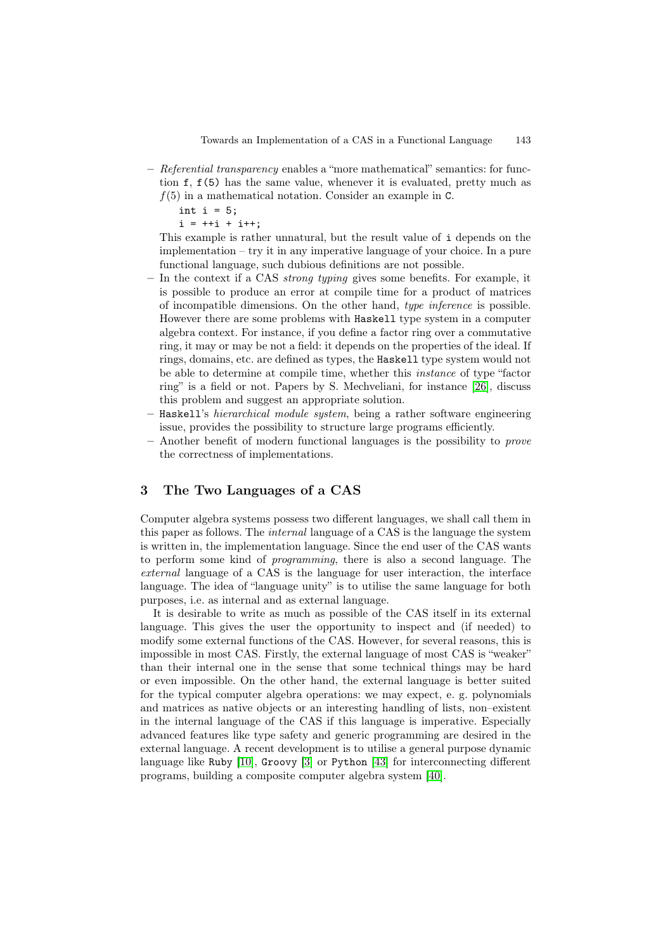- *Referential transparency* enables a "more mathematical" semantics: for function f, f(5) has the same value, whenever it is evaluated, pretty much as  $f(5)$  in a mathematical notation. Consider an example in C.
	- int  $i = 5$ ;
	- $i = ++i + i++;$

This example is rather unnatural, but the result value of i depends on the implementation – try it in any imperative language of your choice. In a pure functional language, such dubious definitions are not possible.

- In the context if a CAS *strong typing* gives some benefits. For example, it is possible to produce an error at compile time for a product of matrices of incompatible dimensions. On the other hand, *type inference* is possible. However there are some problems with Haskell type system in a computer algebra context. For instance, if you define a factor ring over a commutative ring, it may or may be not a field: it depends on the properties of the ideal. If rings, domains, etc. are defined as types, the Haskell type system would not be able to determine at compile time, whether this *instance* of type "factor ring" is a field or not. Papers by S. Mechveliani, for instance [\[26\]](#page-12-16), discuss this problem and suggest an appropriate solution.
- Haskell's *hierarchical module system*, being a rather software engineering issue, provides the possibility to structure large programs efficiently.
- Another benefit of modern functional languages is the possibility to *prove* the correctness of implementations.

# 3 The Two Languages of a CAS

Computer algebra systems possess two different languages, we shall call them in this paper as follows. The *internal* language of a CAS is the language the system is written in, the implementation language. Since the end user of the CAS wants to perform some kind of *programming*, there is also a second language. The *external* language of a CAS is the language for user interaction, the interface language. The idea of "language unity" is to utilise the same language for both purposes, i.e. as internal and as external language.

It is desirable to write as much as possible of the CAS itself in its external language. This gives the user the opportunity to inspect and (if needed) to modify some external functions of the CAS. However, for several reasons, this is impossible in most CAS. Firstly, the external language of most CAS is "weaker" than their internal one in the sense that some technical things may be hard or even impossible. On the other hand, the external language is better suited for the typical computer algebra operations: we may expect, e. g. polynomials and matrices as native objects or an interesting handling of lists, non–existent in the internal language of the CAS if this language is imperative. Especially advanced features like type safety and generic programming are desired in the external language. A recent development is to utilise a general purpose dynamic language like Ruby [\[10\]](#page-11-7), Groovy [\[3\]](#page-11-8) or Python [\[43\]](#page-13-8) for interconnecting different programs, building a composite computer algebra system [\[40\]](#page-13-9).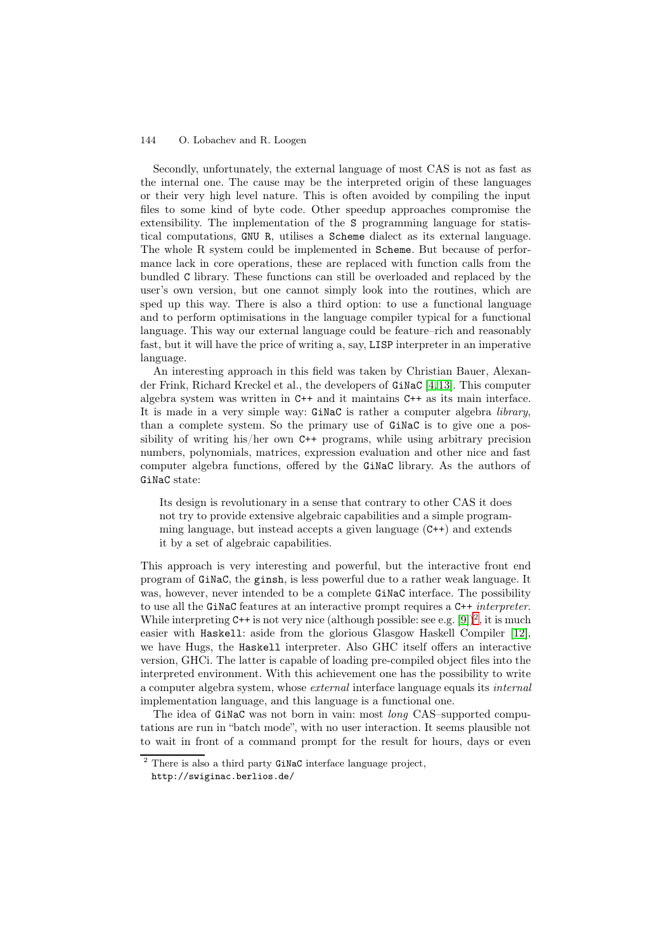Secondly, unfortunately, the external language of most CAS is not as fast as the internal one. The cause may be the interpreted origin of these languages or their very high level nature. This is often avoided by compiling the input files to some kind of byte code. Other speedup approaches compromise the extensibility. The implementation of the S programming language for statistical computations, GNU R, utilises a Scheme dialect as its external language. The whole R system could be implemented in Scheme. But because of performance lack in core operations, these are replaced with function calls from the bundled C library. These functions can still be overloaded and replaced by the user's own version, but one cannot simply look into the routines, which are sped up this way. There is also a third option: to use a functional language and to perform optimisations in the language compiler typical for a functional language. This way our external language could be feature–rich and reasonably fast, but it will have the price of writing a, say, LISP interpreter in an imperative language.

An interesting approach in this field was taken by Christian Bauer, Alexander Frink, Richard Kreckel et al., the developers of GiNaC [\[4,](#page-11-9) [13\]](#page-11-2). This computer algebra system was written in C++ and it maintains C++ as its main interface. It is made in a very simple way: GiNaC is rather a computer algebra *library*, than a complete system. So the primary use of GiNaC is to give one a possibility of writing his/her own C++ programs, while using arbitrary precision numbers, polynomials, matrices, expression evaluation and other nice and fast computer algebra functions, offered by the GiNaC library. As the authors of GiNaC state:

Its design is revolutionary in a sense that contrary to other CAS it does not try to provide extensive algebraic capabilities and a simple programming language, but instead accepts a given language (C++) and extends it by a set of algebraic capabilities.

This approach is very interesting and powerful, but the interactive front end program of GiNaC, the ginsh, is less powerful due to a rather weak language. It was, however, never intended to be a complete GiNaC interface. The possibility to use all the GiNaC features at an interactive prompt requires a C++ *interpreter*. While interpreting  $C^{++}$  is not very nice (although possible: see e.g. [\[9\]](#page-11-10))<sup>[2](#page-3-0)</sup>, it is much easier with Haskell: aside from the glorious Glasgow Haskell Compiler [\[12\]](#page-11-11), we have Hugs, the Haskell interpreter. Also GHC itself offers an interactive version, GHCi. The latter is capable of loading pre-compiled object files into the interpreted environment. With this achievement one has the possibility to write a computer algebra system, whose *external* interface language equals its *internal* implementation language, and this language is a functional one.

The idea of GiNaC was not born in vain: most *long* CAS–supported computations are run in "batch mode", with no user interaction. It seems plausible not to wait in front of a command prompt for the result for hours, days or even

<span id="page-3-0"></span>There is also a third party GiNaC interface language project,

http://swiginac.berlios.de/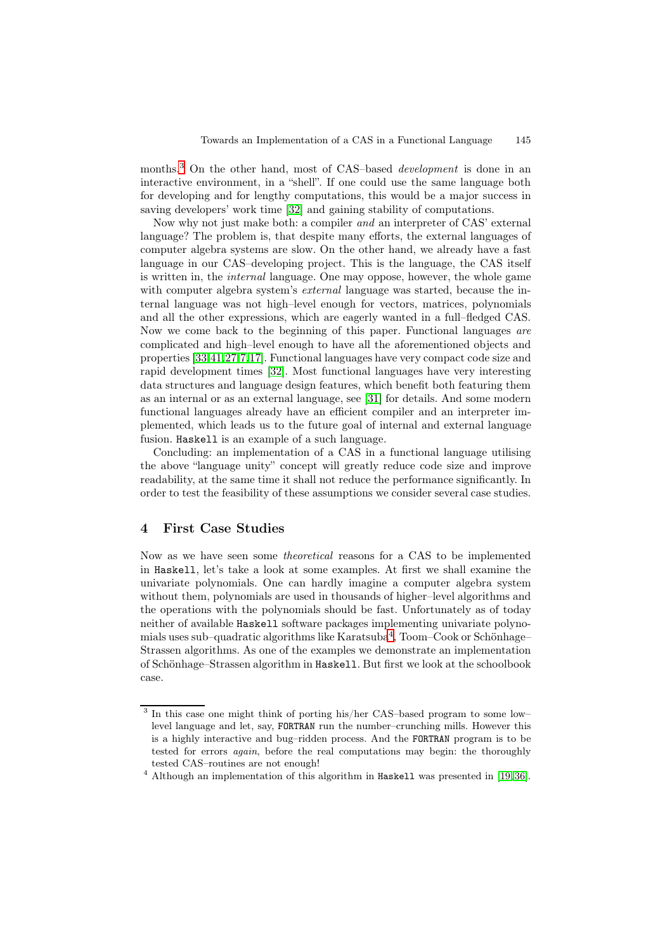months.[3](#page-4-0) On the other hand, most of CAS–based *development* is done in an interactive environment, in a "shell". If one could use the same language both for developing and for lengthy computations, this would be a major success in saving developers' work time [\[32\]](#page-12-17) and gaining stability of computations.

Now why not just make both: a compiler *and* an interpreter of CAS' external language? The problem is, that despite many efforts, the external languages of computer algebra systems are slow. On the other hand, we already have a fast language in our CAS–developing project. This is the language, the CAS itself is written in, the *internal* language. One may oppose, however, the whole game with computer algebra system's *external* language was started, because the internal language was not high–level enough for vectors, matrices, polynomials and all the other expressions, which are eagerly wanted in a full–fledged CAS. Now we come back to the beginning of this paper. Functional languages *are* complicated and high–level enough to have all the aforementioned objects and properties [\[33,](#page-12-2)[41](#page-13-10)[,27,](#page-12-4)[7,](#page-11-12)[17\]](#page-12-18). Functional languages have very compact code size and rapid development times [\[32\]](#page-12-17). Most functional languages have very interesting data structures and language design features, which benefit both featuring them as an internal or as an external language, see [\[31\]](#page-12-19) for details. And some modern functional languages already have an efficient compiler and an interpreter implemented, which leads us to the future goal of internal and external language fusion. Haskell is an example of a such language.

Concluding: an implementation of a CAS in a functional language utilising the above "language unity" concept will greatly reduce code size and improve readability, at the same time it shall not reduce the performance significantly. In order to test the feasibility of these assumptions we consider several case studies.

### 4 First Case Studies

Now as we have seen some *theoretical* reasons for a CAS to be implemented in Haskell, let's take a look at some examples. At first we shall examine the univariate polynomials. One can hardly imagine a computer algebra system without them, polynomials are used in thousands of higher–level algorithms and the operations with the polynomials should be fast. Unfortunately as of today neither of available Haskell software packages implementing univariate polyno-mials uses sub–quadratic algorithms like Karatsuba<sup>[4](#page-4-1)</sup>, Toom–Cook or Schönhage– Strassen algorithms. As one of the examples we demonstrate an implementation of Schönhage–Strassen algorithm in Haskell. But first we look at the schoolbook case.

<span id="page-4-0"></span><sup>3</sup> In this case one might think of porting his/her CAS–based program to some low– level language and let, say, FORTRAN run the number–crunching mills. However this is a highly interactive and bug–ridden process. And the FORTRAN program is to be tested for errors *again*, before the real computations may begin: the thoroughly tested CAS–routines are not enough!

<span id="page-4-1"></span><sup>4</sup> Although an implementation of this algorithm in Haskell was presented in [\[19,](#page-12-20) [36\]](#page-12-21).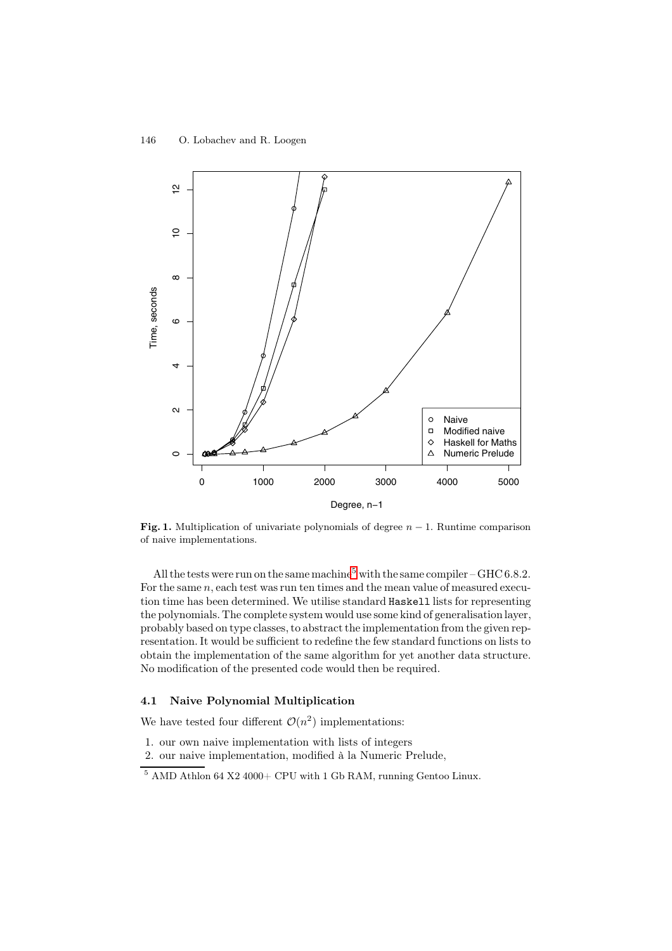

<span id="page-5-1"></span>Fig. 1. Multiplication of univariate polynomials of degree  $n - 1$ . Runtime comparison of naive implementations.

All the tests were run on the same machine<sup>[5](#page-5-0)</sup> with the same compiler – GHC 6.8.2. For the same  $n$ , each test was run ten times and the mean value of measured execution time has been determined. We utilise standard Haskell lists for representing the polynomials. The complete system would use some kind of generalisation layer, probably based on type classes, to abstract the implementation from the given representation. It would be sufficient to redefine the few standard functions on lists to obtain the implementation of the same algorithm for yet another data structure. No modification of the presented code would then be required.

### 4.1 Naive Polynomial Multiplication

We have tested four different  $\mathcal{O}(n^2)$  implementations:

- 1. our own naive implementation with lists of integers
- 2. our naive implementation, modified à la Numeric Prelude,
- <span id="page-5-0"></span> $5$  AMD Athlon 64 X2 4000+ CPU with 1 Gb RAM, running Gentoo Linux.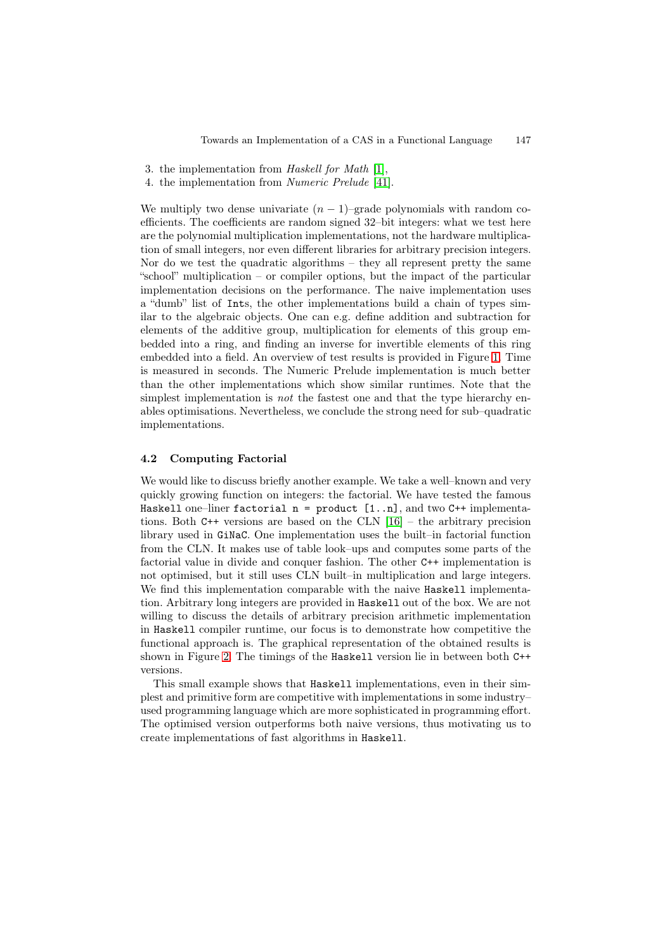- 3. the implementation from *Haskell for Math* [\[1\]](#page-11-13),
- 4. the implementation from *Numeric Prelude* [\[41\]](#page-13-10).

We multiply two dense univariate  $(n-1)$ –grade polynomials with random coefficients. The coefficients are random signed 32–bit integers: what we test here are the polynomial multiplication implementations, not the hardware multiplication of small integers, nor even different libraries for arbitrary precision integers. Nor do we test the quadratic algorithms – they all represent pretty the same "school" multiplication – or compiler options, but the impact of the particular implementation decisions on the performance. The naive implementation uses a "dumb" list of Ints, the other implementations build a chain of types similar to the algebraic objects. One can e.g. define addition and subtraction for elements of the additive group, multiplication for elements of this group embedded into a ring, and finding an inverse for invertible elements of this ring embedded into a field. An overview of test results is provided in Figure [1.](#page-5-1) Time is measured in seconds. The Numeric Prelude implementation is much better than the other implementations which show similar runtimes. Note that the simplest implementation is *not* the fastest one and that the type hierarchy enables optimisations. Nevertheless, we conclude the strong need for sub–quadratic implementations.

#### 4.2 Computing Factorial

We would like to discuss briefly another example. We take a well–known and very quickly growing function on integers: the factorial. We have tested the famous Haskell one-liner factorial  $n =$  product  $[1..n]$ , and two C++ implementations. Both C++ versions are based on the CLN [\[16\]](#page-12-5) – the arbitrary precision library used in GiNaC. One implementation uses the built–in factorial function from the CLN. It makes use of table look–ups and computes some parts of the factorial value in divide and conquer fashion. The other C++ implementation is not optimised, but it still uses CLN built–in multiplication and large integers. We find this implementation comparable with the naive Haskell implementation. Arbitrary long integers are provided in Haskell out of the box. We are not willing to discuss the details of arbitrary precision arithmetic implementation in Haskell compiler runtime, our focus is to demonstrate how competitive the functional approach is. The graphical representation of the obtained results is shown in Figure [2.](#page-7-0) The timings of the Haskell version lie in between both C++ versions.

This small example shows that Haskell implementations, even in their simplest and primitive form are competitive with implementations in some industry– used programming language which are more sophisticated in programming effort. The optimised version outperforms both naive versions, thus motivating us to create implementations of fast algorithms in Haskell.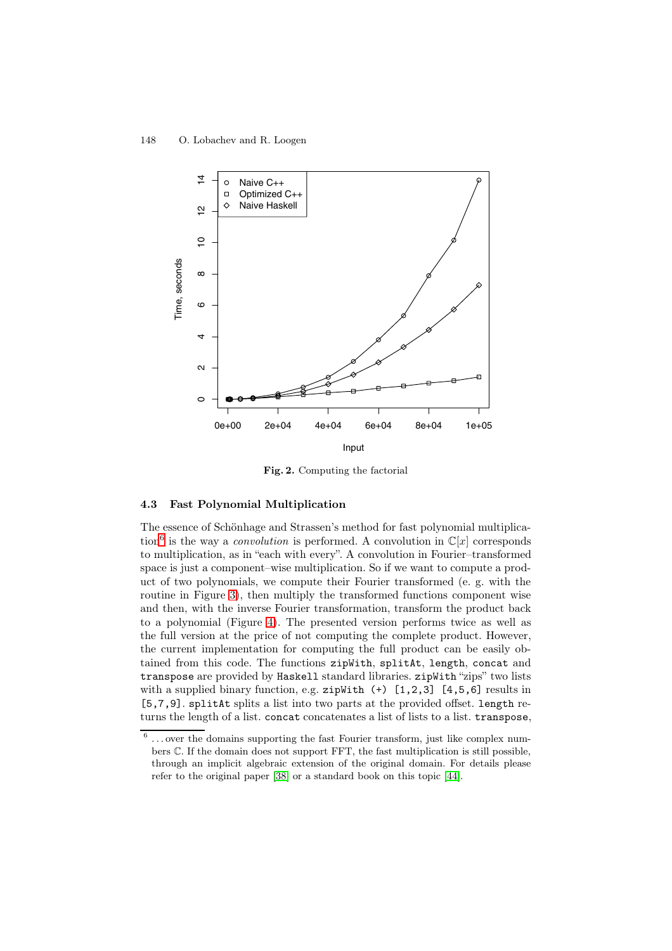

<span id="page-7-0"></span>Fig. 2. Computing the factorial

### 4.3 Fast Polynomial Multiplication

The essence of Schönhage and Strassen's method for fast polynomial multiplica-tion<sup>[6](#page-7-1)</sup> is the way a *convolution* is performed. A convolution in  $\mathbb{C}[x]$  corresponds to multiplication, as in "each with every". A convolution in Fourier–transformed space is just a component–wise multiplication. So if we want to compute a product of two polynomials, we compute their Fourier transformed (e. g. with the routine in Figure [3\)](#page-8-0), then multiply the transformed functions component wise and then, with the inverse Fourier transformation, transform the product back to a polynomial (Figure [4\)](#page-8-1). The presented version performs twice as well as the full version at the price of not computing the complete product. However, the current implementation for computing the full product can be easily obtained from this code. The functions zipWith, splitAt, length, concat and transpose are provided by Haskell standard libraries. zipWith "zips" two lists with a supplied binary function, e.g. zipWith (+) [1,2,3] [4,5,6] results in [5,7,9]. splitAt splits a list into two parts at the provided offset. length returns the length of a list. concat concatenates a list of lists to a list. transpose,

<span id="page-7-1"></span> $\frac{6}{6}$ ... over the domains supporting the fast Fourier transform, just like complex numbers C. If the domain does not support FFT, the fast multiplication is still possible, through an implicit algebraic extension of the original domain. For details please refer to the original paper [\[38\]](#page-13-3) or a standard book on this topic [\[44\]](#page-13-2).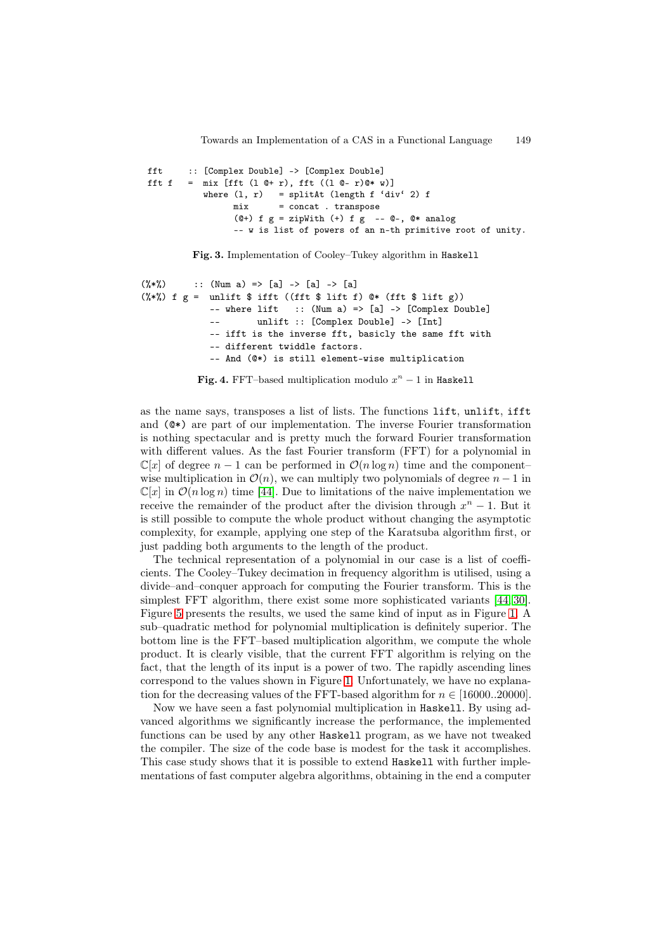```
fft :: [Complex Double] -> [Complex Double]
fft f = mix [fft (1 0+r), fft ((1 0-r)0* w)]where (1, r) = splitAt (length f 'div' 2) f
               mix = concat . transpose
                (Q+) f g = zipWith (+) f g -- Q-, Q* analog
                -- w is list of powers of an n-th primitive root of unity.
```
Fig. 3. Implementation of Cooley–Tukey algorithm in Haskell

```
(\% * \%) :: (Num a) => [a] -> [a] -> [a]
(\frac{1}{2} \cdot \frac{1}{2}) f g = unlift $ ifft ((fft $ lift f) @* (fft $ lift g))
              -- where lift :: (Num a) \Rightarrow [a] - [Complex Double]
                        unlift :: [Complex Double] \rightarrow [Int]-- ifft is the inverse fft, basicly the same fft with
              -- different twiddle factors.
              -- And (@*) is still element-wise multiplication
```
Fig. 4. FFT–based multiplication modulo  $x^n - 1$  in Haskell

<span id="page-8-1"></span>as the name says, transposes a list of lists. The functions lift, unlift, ifft and (@\*) are part of our implementation. The inverse Fourier transformation is nothing spectacular and is pretty much the forward Fourier transformation with different values. As the fast Fourier transform (FFT) for a polynomial in  $\mathbb{C}[x]$  of degree  $n-1$  can be performed in  $\mathcal{O}(n \log n)$  time and the component– wise multiplication in  $\mathcal{O}(n)$ , we can multiply two polynomials of degree  $n-1$  in  $\mathbb{C}[x]$  in  $\mathcal{O}(n \log n)$  time [\[44\]](#page-13-2). Due to limitations of the naive implementation we receive the remainder of the product after the division through  $x<sup>n</sup> - 1$ . But it is still possible to compute the whole product without changing the asymptotic complexity, for example, applying one step of the Karatsuba algorithm first, or just padding both arguments to the length of the product.

The technical representation of a polynomial in our case is a list of coefficients. The Cooley–Tukey decimation in frequency algorithm is utilised, using a divide–and–conquer approach for computing the Fourier transform. This is the simplest FFT algorithm, there exist some more sophisticated variants [\[44,](#page-13-2) [30\]](#page-12-22). Figure [5](#page-9-0) presents the results, we used the same kind of input as in Figure [1.](#page-5-1) A sub–quadratic method for polynomial multiplication is definitely superior. The bottom line is the FFT–based multiplication algorithm, we compute the whole product. It is clearly visible, that the current FFT algorithm is relying on the fact, that the length of its input is a power of two. The rapidly ascending lines correspond to the values shown in Figure [1.](#page-5-1) Unfortunately, we have no explanation for the decreasing values of the FFT-based algorithm for  $n \in [16000..20000]$ .

Now we have seen a fast polynomial multiplication in Haskell. By using advanced algorithms we significantly increase the performance, the implemented functions can be used by any other Haskell program, as we have not tweaked the compiler. The size of the code base is modest for the task it accomplishes. This case study shows that it is possible to extend Haskell with further implementations of fast computer algebra algorithms, obtaining in the end a computer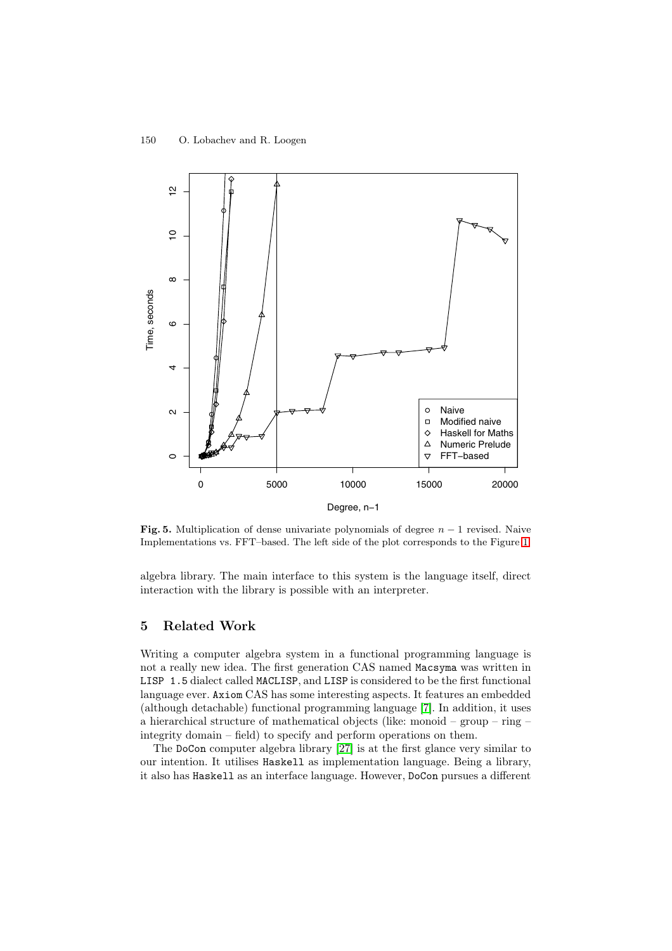

<span id="page-9-0"></span>**Fig. 5.** Multiplication of dense univariate polynomials of degree  $n - 1$  revised. Naive Implementations vs. FFT–based. The left side of the plot corresponds to the Figure [1.](#page-5-1)

algebra library. The main interface to this system is the language itself, direct interaction with the library is possible with an interpreter.

# 5 Related Work

Writing a computer algebra system in a functional programming language is not a really new idea. The first generation CAS named Macsyma was written in LISP 1.5 dialect called MACLISP, and LISP is considered to be the first functional language ever. Axiom CAS has some interesting aspects. It features an embedded (although detachable) functional programming language [\[7\]](#page-11-12). In addition, it uses a hierarchical structure of mathematical objects (like: monoid – group – ring – integrity domain – field) to specify and perform operations on them.

The DoCon computer algebra library [\[27\]](#page-12-4) is at the first glance very similar to our intention. It utilises Haskell as implementation language. Being a library, it also has Haskell as an interface language. However, DoCon pursues a different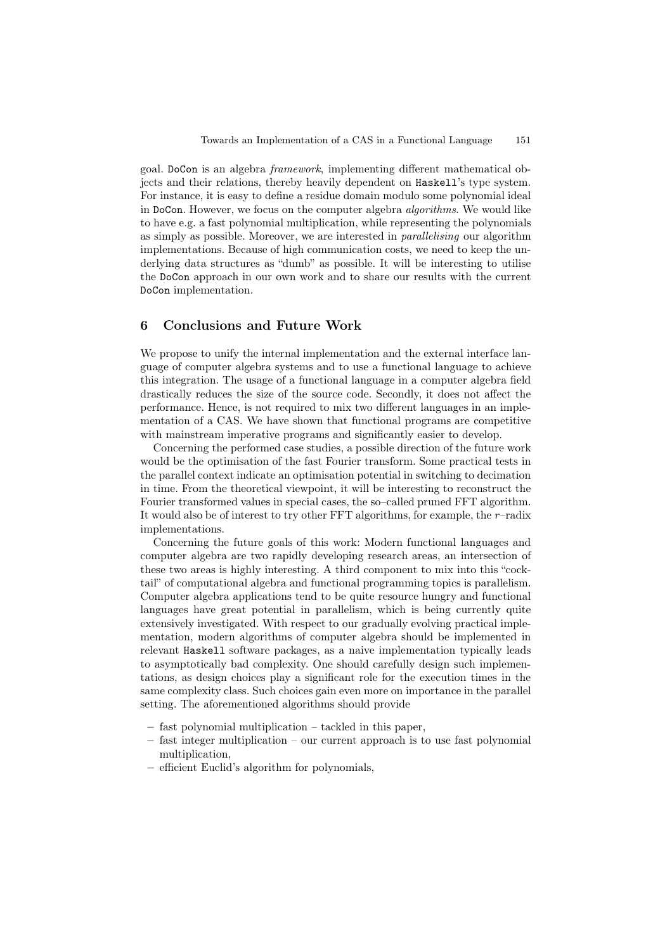goal. DoCon is an algebra *framework*, implementing different mathematical objects and their relations, thereby heavily dependent on Haskell's type system. For instance, it is easy to define a residue domain modulo some polynomial ideal in DoCon. However, we focus on the computer algebra *algorithms*. We would like to have e.g. a fast polynomial multiplication, while representing the polynomials as simply as possible. Moreover, we are interested in *parallelising* our algorithm implementations. Because of high communication costs, we need to keep the underlying data structures as "dumb" as possible. It will be interesting to utilise the DoCon approach in our own work and to share our results with the current DoCon implementation.

# 6 Conclusions and Future Work

We propose to unify the internal implementation and the external interface language of computer algebra systems and to use a functional language to achieve this integration. The usage of a functional language in a computer algebra field drastically reduces the size of the source code. Secondly, it does not affect the performance. Hence, is not required to mix two different languages in an implementation of a CAS. We have shown that functional programs are competitive with mainstream imperative programs and significantly easier to develop.

Concerning the performed case studies, a possible direction of the future work would be the optimisation of the fast Fourier transform. Some practical tests in the parallel context indicate an optimisation potential in switching to decimation in time. From the theoretical viewpoint, it will be interesting to reconstruct the Fourier transformed values in special cases, the so–called pruned FFT algorithm. It would also be of interest to try other FFT algorithms, for example, the r–radix implementations.

Concerning the future goals of this work: Modern functional languages and computer algebra are two rapidly developing research areas, an intersection of these two areas is highly interesting. A third component to mix into this "cocktail" of computational algebra and functional programming topics is parallelism. Computer algebra applications tend to be quite resource hungry and functional languages have great potential in parallelism, which is being currently quite extensively investigated. With respect to our gradually evolving practical implementation, modern algorithms of computer algebra should be implemented in relevant Haskell software packages, as a naive implementation typically leads to asymptotically bad complexity. One should carefully design such implementations, as design choices play a significant role for the execution times in the same complexity class. Such choices gain even more on importance in the parallel setting. The aforementioned algorithms should provide

- fast polynomial multiplication tackled in this paper,
- fast integer multiplication our current approach is to use fast polynomial multiplication,
- efficient Euclid's algorithm for polynomials,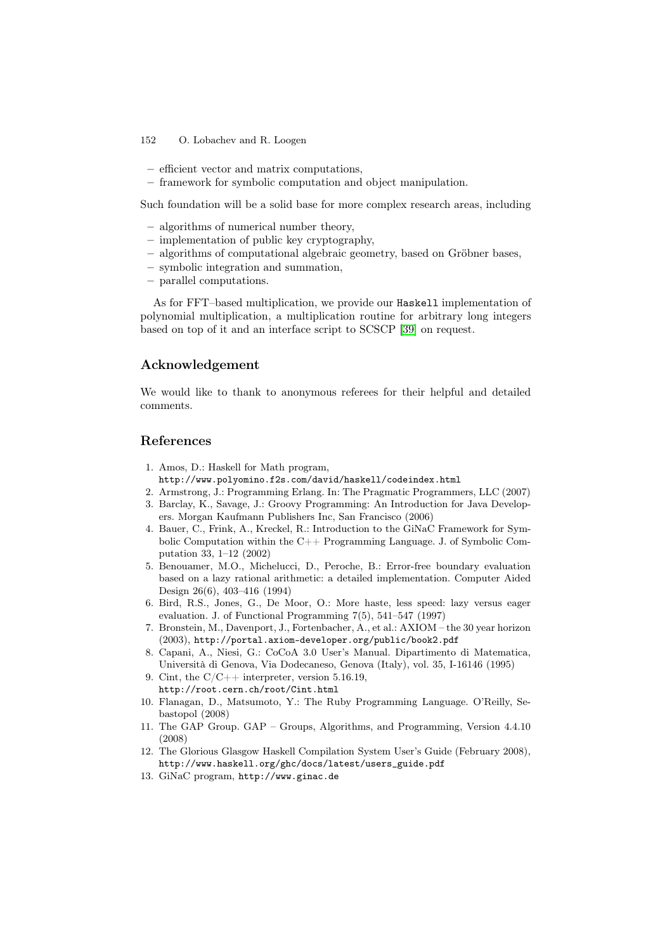- efficient vector and matrix computations,
- framework for symbolic computation and object manipulation.

Such foundation will be a solid base for more complex research areas, including

- algorithms of numerical number theory,
- implementation of public key cryptography,
- algorithms of computational algebraic geometry, based on Gröbner bases,
- symbolic integration and summation,
- parallel computations.

As for FFT–based multiplication, we provide our Haskell implementation of polynomial multiplication, a multiplication routine for arbitrary long integers based on top of it and an interface script to SCSCP [\[39\]](#page-13-7) on request.

# Acknowledgement

We would like to thank to anonymous referees for their helpful and detailed comments.

# <span id="page-11-13"></span><span id="page-11-3"></span>References

- 1. Amos, D.: Haskell for Math program, http://www.polyomino.f2s.com/david/haskell/codeindex.html
- <span id="page-11-8"></span><span id="page-11-6"></span>2. Armstrong, J.: Programming Erlang. In: The Pragmatic Programmers, LLC (2007)
- 3. Barclay, K., Savage, J.: Groovy Programming: An Introduction for Java Developers. Morgan Kaufmann Publishers Inc, San Francisco (2006)
- <span id="page-11-9"></span>4. Bauer, C., Frink, A., Kreckel, R.: Introduction to the GiNaC Framework for Symbolic Computation within the C++ Programming Language. J. of Symbolic Computation 33, 1–12 (2002)
- <span id="page-11-4"></span>5. Benouamer, M.O., Michelucci, D., Peroche, B.: Error-free boundary evaluation based on a lazy rational arithmetic: a detailed implementation. Computer Aided Design 26(6), 403–416 (1994)
- <span id="page-11-5"></span>6. Bird, R.S., Jones, G., De Moor, O.: More haste, less speed: lazy versus eager evaluation. J. of Functional Programming 7(5), 541–547 (1997)
- <span id="page-11-12"></span>7. Bronstein, M., Davenport, J., Fortenbacher, A., et al.: AXIOM – the 30 year horizon (2003), http://portal.axiom-developer.org/public/book2.pdf
- <span id="page-11-0"></span>8. Capani, A., Niesi, G.: CoCoA 3.0 User's Manual. Dipartimento di Matematica, Università di Genova, Via Dodecaneso, Genova (Italy), vol. 35, I-16146 (1995)
- <span id="page-11-10"></span>9. Cint, the  $C/C++$  interpreter, version 5.16.19, http://root.cern.ch/root/Cint.html
- <span id="page-11-7"></span>10. Flanagan, D., Matsumoto, Y.: The Ruby Programming Language. O'Reilly, Sebastopol (2008)
- <span id="page-11-1"></span>11. The GAP Group. GAP – Groups, Algorithms, and Programming, Version 4.4.10 (2008)
- <span id="page-11-11"></span>12. The Glorious Glasgow Haskell Compilation System User's Guide (February 2008), http://www.haskell.org/ghc/docs/latest/users\_guide.pdf
- <span id="page-11-2"></span>13. GiNaC program, http://www.ginac.de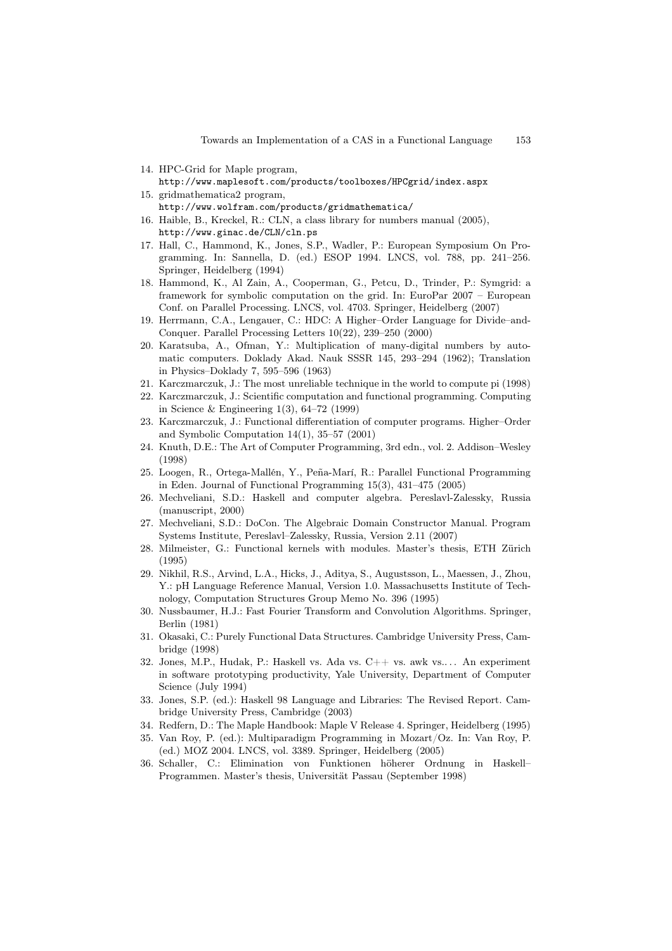- <span id="page-12-12"></span>14. HPC-Grid for Maple program, http://www.maplesoft.com/products/toolboxes/HPCgrid/index.aspx
- <span id="page-12-11"></span><span id="page-12-5"></span>15. gridmathematica2 program, http://www.wolfram.com/products/gridmathematica/
- 16. Haible, B., Kreckel, R.: CLN, a class library for numbers manual (2005), http://www.ginac.de/CLN/cln.ps
- <span id="page-12-18"></span>17. Hall, C., Hammond, K., Jones, S.P., Wadler, P.: European Symposium On Programming. In: Sannella, D. (ed.) ESOP 1994. LNCS, vol. 788, pp. 241–256. Springer, Heidelberg (1994)
- <span id="page-12-13"></span>18. Hammond, K., Al Zain, A., Cooperman, G., Petcu, D., Trinder, P.: Symgrid: a framework for symbolic computation on the grid. In: EuroPar 2007 – European Conf. on Parallel Processing. LNCS, vol. 4703. Springer, Heidelberg (2007)
- <span id="page-12-20"></span>19. Herrmann, C.A., Lengauer, C.: HDC: A Higher–Order Language for Divide–and-Conquer. Parallel Processing Letters 10(22), 239–250 (2000)
- <span id="page-12-0"></span>20. Karatsuba, A., Ofman, Y.: Multiplication of many-digital numbers by automatic computers. Doklady Akad. Nauk SSSR 145, 293–294 (1962); Translation in Physics–Doklady 7, 595–596 (1963)
- <span id="page-12-14"></span><span id="page-12-6"></span>21. Karczmarczuk, J.: The most unreliable technique in the world to compute pi (1998)
- 22. Karczmarczuk, J.: Scientific computation and functional programming. Computing in Science & Engineering 1(3), 64–72 (1999)
- <span id="page-12-15"></span>23. Karczmarczuk, J.: Functional differentiation of computer programs. Higher–Order and Symbolic Computation 14(1), 35–57 (2001)
- <span id="page-12-1"></span>24. Knuth, D.E.: The Art of Computer Programming, 3rd edn., vol. 2. Addison–Wesley (1998)
- <span id="page-12-8"></span>25. Loogen, R., Ortega-Mallén, Y., Peña-Marí, R.: Parallel Functional Programming in Eden. Journal of Functional Programming 15(3), 431–475 (2005)
- <span id="page-12-16"></span>26. Mechveliani, S.D.: Haskell and computer algebra. Pereslavl-Zalessky, Russia (manuscript, 2000)
- <span id="page-12-4"></span>27. Mechveliani, S.D.: DoCon. The Algebraic Domain Constructor Manual. Program Systems Institute, Pereslavl–Zalessky, Russia, Version 2.11 (2007)
- <span id="page-12-7"></span>28. Milmeister, G.: Functional kernels with modules. Master's thesis, ETH Zürich (1995)
- <span id="page-12-9"></span>29. Nikhil, R.S., Arvind, L.A., Hicks, J., Aditya, S., Augustsson, L., Maessen, J., Zhou, Y.: pH Language Reference Manual, Version 1.0. Massachusetts Institute of Technology, Computation Structures Group Memo No. 396 (1995)
- <span id="page-12-22"></span>30. Nussbaumer, H.J.: Fast Fourier Transform and Convolution Algorithms. Springer, Berlin (1981)
- <span id="page-12-19"></span>31. Okasaki, C.: Purely Functional Data Structures. Cambridge University Press, Cambridge (1998)
- <span id="page-12-17"></span>32. Jones, M.P., Hudak, P.: Haskell vs. Ada vs. C++ vs. awk vs.. . . An experiment in software prototyping productivity, Yale University, Department of Computer Science (July 1994)
- <span id="page-12-2"></span>33. Jones, S.P. (ed.): Haskell 98 Language and Libraries: The Revised Report. Cambridge University Press, Cambridge (2003)
- <span id="page-12-10"></span><span id="page-12-3"></span>34. Redfern, D.: The Maple Handbook: Maple V Release 4. Springer, Heidelberg (1995)
- 35. Van Roy, P. (ed.): Multiparadigm Programming in Mozart/Oz. In: Van Roy, P. (ed.) MOZ 2004. LNCS, vol. 3389. Springer, Heidelberg (2005)
- <span id="page-12-21"></span>36. Schaller, C.: Elimination von Funktionen höherer Ordnung in Haskell– Programmen. Master's thesis, Universität Passau (September 1998)